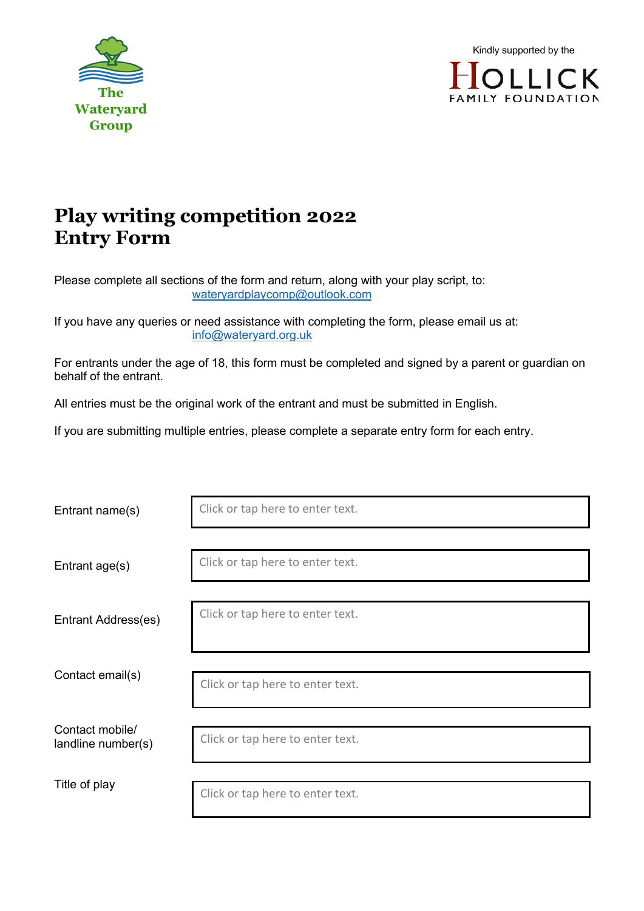



## **Play writing competition 2022 Entry Form**

Please complete all sections of the form and return, along with your play script, to: wateryardplaycomp@outlook.com

If you have any queries or need assistance with completing the form, please email us at: info@wateryard.org.uk

For entrants under the age of 18, this form must be completed and signed by a parent or guardian on behalf of the entrant.

All entries must be the original work of the entrant and must be submitted in English.

If you are submitting multiple entries, please complete a separate entry form for each entry.

| Entrant name(s)                       | Click or tap here to enter text. |
|---------------------------------------|----------------------------------|
| Entrant age(s)                        | Click or tap here to enter text. |
| Entrant Address(es)                   | Click or tap here to enter text. |
| Contact email(s)                      | Click or tap here to enter text. |
| Contact mobile/<br>landline number(s) | Click or tap here to enter text. |
| Title of play                         | Click or tap here to enter text. |